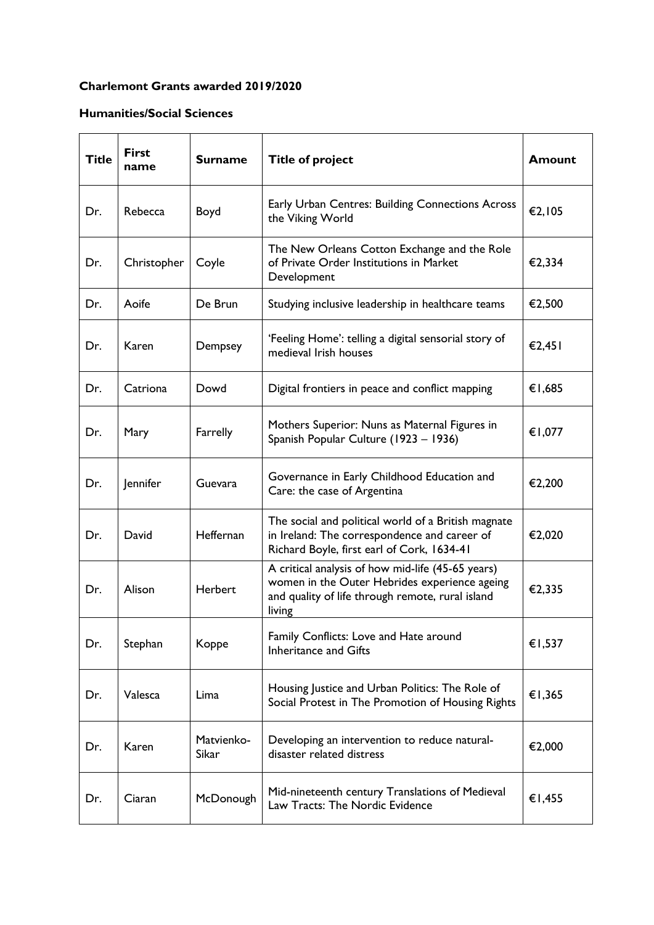## **Charlemont Grants awarded 2019/2020**

## **Humanities/Social Sciences**

| <b>Title</b> | <b>First</b><br>name | <b>Surname</b>      | <b>Title of project</b>                                                                                                                                          | <b>Amount</b> |
|--------------|----------------------|---------------------|------------------------------------------------------------------------------------------------------------------------------------------------------------------|---------------|
| Dr.          | Rebecca              | Boyd                | Early Urban Centres: Building Connections Across<br>the Viking World                                                                                             | €2,105        |
| Dr.          | Christopher          | Coyle               | The New Orleans Cotton Exchange and the Role<br>of Private Order Institutions in Market<br>Development                                                           | €2,334        |
| Dr.          | Aoife                | De Brun             | Studying inclusive leadership in healthcare teams                                                                                                                | €2,500        |
| Dr.          | Karen                | Dempsey             | 'Feeling Home': telling a digital sensorial story of<br>medieval Irish houses                                                                                    | €2,451        |
| Dr.          | Catriona             | Dowd                | Digital frontiers in peace and conflict mapping                                                                                                                  | €1,685        |
| Dr.          | Mary                 | Farrelly            | Mothers Superior: Nuns as Maternal Figures in<br>Spanish Popular Culture (1923 - 1936)                                                                           | €1,077        |
| Dr.          | Jennifer             | Guevara             | Governance in Early Childhood Education and<br>Care: the case of Argentina                                                                                       | €2,200        |
| Dr.          | David                | Heffernan           | The social and political world of a British magnate<br>in Ireland: The correspondence and career of<br>Richard Boyle, first earl of Cork, 1634-41                | €2,020        |
| Dr.          | Alison               | <b>Herbert</b>      | A critical analysis of how mid-life (45-65 years)<br>women in the Outer Hebrides experience ageing<br>and quality of life through remote, rural island<br>living | €2,335        |
| Dr.          | Stephan              | Koppe               | Family Conflicts: Love and Hate around<br><b>Inheritance and Gifts</b>                                                                                           | €1,537        |
| Dr.          | Valesca              | Lima                | Housing Justice and Urban Politics: The Role of<br>Social Protest in The Promotion of Housing Rights                                                             | €1,365        |
| Dr.          | Karen                | Matvienko-<br>Sikar | Developing an intervention to reduce natural-<br>disaster related distress                                                                                       | €2,000        |
| Dr.          | Ciaran               | McDonough           | Mid-nineteenth century Translations of Medieval<br>Law Tracts: The Nordic Evidence                                                                               | €1,455        |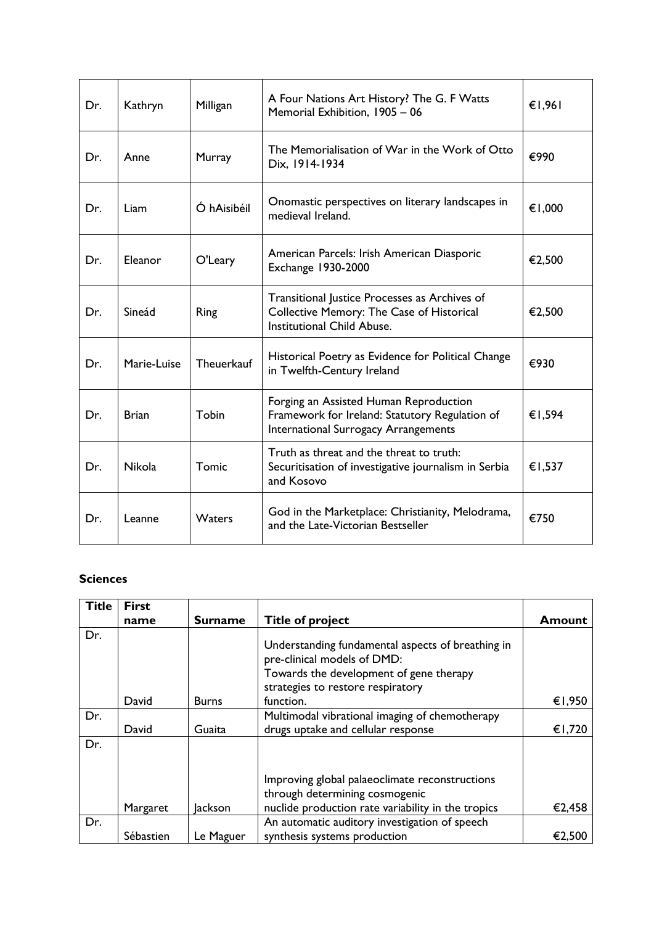| Dr. | Kathryn       | Milligan      | A Four Nations Art History? The G. F Watts<br>Memorial Exhibition, 1905 - 06                                                            | €1,961 |
|-----|---------------|---------------|-----------------------------------------------------------------------------------------------------------------------------------------|--------|
| Dr. | Anne          | Murray        | The Memorialisation of War in the Work of Otto<br>Dix, 1914-1934                                                                        | €990   |
| Dr. | Liam          | Ó hAisibéil   | Onomastic perspectives on literary landscapes in<br>medieval Ireland.                                                                   | €1,000 |
| Dr. | Eleanor       | O'Leary       | American Parcels: Irish American Diasporic<br><b>Exchange 1930-2000</b>                                                                 | €2,500 |
| Dr. | Sineád        | Ring          | Transitional Justice Processes as Archives of<br>Collective Memory: The Case of Historical<br>Institutional Child Abuse.                | €2,500 |
| Dr. | Marie-Luise   | Theuerkauf    | Historical Poetry as Evidence for Political Change<br>in Twelfth-Century Ireland                                                        | €930   |
| Dr. | <b>Brian</b>  | Tobin         | Forging an Assisted Human Reproduction<br>Framework for Ireland: Statutory Regulation of<br><b>International Surrogacy Arrangements</b> | €1,594 |
| Dr. | <b>Nikola</b> | Tomic         | Truth as threat and the threat to truth:<br>Securitisation of investigative journalism in Serbia<br>and Kosovo                          | €1,537 |
| Dr. | Leanne        | <b>Waters</b> | God in the Marketplace: Christianity, Melodrama,<br>and the Late-Victorian Bestseller                                                   | €750   |

## **Sciences**

| <b>Title</b> | <b>First</b> |                |                                                                                                                                                                  |        |
|--------------|--------------|----------------|------------------------------------------------------------------------------------------------------------------------------------------------------------------|--------|
|              | name         | <b>Surname</b> | <b>Title of project</b>                                                                                                                                          | Amount |
| Dr.          |              |                | Understanding fundamental aspects of breathing in<br>pre-clinical models of DMD:<br>Towards the development of gene therapy<br>strategies to restore respiratory |        |
|              | David        | <b>Burns</b>   | function.                                                                                                                                                        | €1,950 |
| Dr.          | David        | Guaita         | Multimodal vibrational imaging of chemotherapy<br>drugs uptake and cellular response                                                                             | €1,720 |
| Dr.          | Margaret     | <b>Jackson</b> | Improving global palaeoclimate reconstructions<br>through determining cosmogenic<br>nuclide production rate variability in the tropics                           | €2,458 |
| Dr.          |              |                | An automatic auditory investigation of speech                                                                                                                    |        |
|              | Sébastien    | Le Maguer      | synthesis systems production                                                                                                                                     | €2,500 |